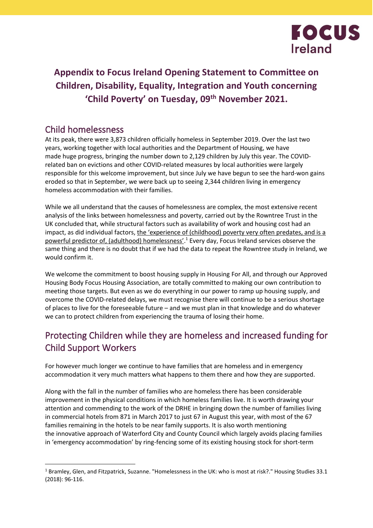

# **Appendix to Focus Ireland Opening Statement to Committee on Children, Disability, Equality, Integration and Youth concerning 'Child Poverty' on Tuesday, 09th November 2021.**

### Child homelessness

At its peak, there were 3,873 children officially homeless in September 2019. Over the last two years, working together with local authorities and the Department of Housing, we have made huge progress, bringing the number down to 2,129 children by July this year. The COVIDrelated ban on evictions and other COVID-related measures by local authorities were largely responsible for this welcome improvement, but since July we have begun to see the hard-won gains eroded so that in September, we were back up to seeing 2,344 children living in emergency homeless accommodation with their families.

While we all understand that the causes of homelessness are complex, the most extensive recent analysis of the links between homelessness and poverty, carried out by the Rowntree Trust in the UK concluded that, while structural factors such as availability of work and housing cost had an impact, as did individual factors, the 'experience of (childhood) poverty very often predates, and is a powerful predictor of, (adulthood) homelessness'.<sup>1</sup> Every day, Focus Ireland services observe the same thing and there is no doubt that if we had the data to repeat the Rowntree study in Ireland, we would confirm it.

We welcome the commitment to boost housing supply in Housing For All, and through our Approved Housing Body Focus Housing Association, are totally committed to making our own contribution to meeting those targets. But even as we do everything in our power to ramp up housing supply, and overcome the COVID-related delays, we must recognise there will continue to be a serious shortage of places to live for the foreseeable future – and we must plan in that knowledge and do whatever we can to protect children from experiencing the trauma of losing their home.

# Protecting Children while they are homeless and increased funding for Child Support Workers

For however much longer we continue to have families that are homeless and in emergency accommodation it very much matters what happens to them there and how they are supported.

Along with the fall in the number of families who are homeless there has been considerable improvement in the physical conditions in which homeless families live. It is worth drawing your attention and commending to the work of the DRHE in bringing down the number of families living in commercial hotels from 871 in March 2017 to just 67 in August this year, with most of the 67 families remaining in the hotels to be near family supports. It is also worth mentioning the innovative approach of Waterford City and County Council which largely avoids placing families in 'emergency accommodation' by ring-fencing some of its existing housing stock for short-term

<sup>&</sup>lt;sup>1</sup> Bramley, Glen, and Fitzpatrick, Suzanne. "Homelessness in the UK: who is most at risk?." Housing Studies 33.1 (2018): 96-116.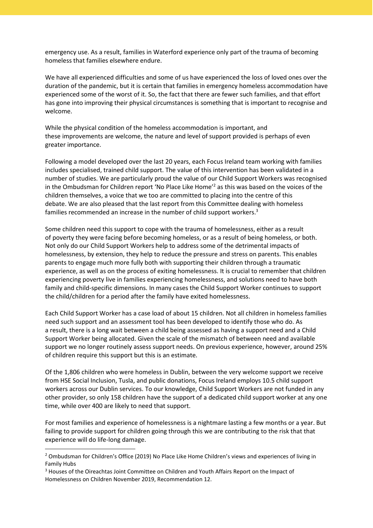emergency use. As a result, families in Waterford experience only part of the trauma of becoming homeless that families elsewhere endure.

We have all experienced difficulties and some of us have experienced the loss of loved ones over the duration of the pandemic, but it is certain that families in emergency homeless accommodation have experienced some of the worst of it. So, the fact that there are fewer such families, and that effort has gone into improving their physical circumstances is something that is important to recognise and welcome.

While the physical condition of the homeless accommodation is important, and these improvements are welcome, the nature and level of support provided is perhaps of even greater importance.

Following a model developed over the last 20 years, each Focus Ireland team working with families includes specialised, trained child support. The value of this intervention has been validated in a number of studies. We are particularly proud the value of our Child Support Workers was recognised in the Ombudsman for Children report 'No Place Like Home'<sup>2</sup> as this was based on the voices of the children themselves, a voice that we too are committed to placing into the centre of this debate. We are also pleased that the last report from this Committee dealing with homeless families recommended an increase in the number of child support workers.<sup>3</sup>

Some children need this support to cope with the trauma of homelessness, either as a result of poverty they were facing before becoming homeless, or as a result of being homeless, or both. Not only do our Child Support Workers help to address some of the detrimental impacts of homelessness, by extension, they help to reduce the pressure and stress on parents. This enables parents to engage much more fully both with supporting their children through a traumatic experience, as well as on the process of exiting homelessness. It is crucial to remember that children experiencing poverty live in families experiencing homelessness, and solutions need to have both family and child-specific dimensions. In many cases the Child Support Worker continues to support the child/children for a period after the family have exited homelessness.

Each Child Support Worker has a case load of about 15 children. Not all children in homeless families need such support and an assessment tool has been developed to identify those who do. As a result, there is a long wait between a child being assessed as having a support need and a Child Support Worker being allocated. Given the scale of the mismatch of between need and available support we no longer routinely assess support needs. On previous experience, however, around 25% of children require this support but this is an estimate.

Of the 1,806 children who were homeless in Dublin, between the very welcome support we receive from HSE Social Inclusion, Tusla, and public donations, Focus Ireland employs 10.5 child support workers across our Dublin services. To our knowledge, Child Support Workers are not funded in any other provider, so only 158 children have the support of a dedicated child support worker at any one time, while over 400 are likely to need that support.

For most families and experience of homelessness is a nightmare lasting a few months or a year. But failing to provide support for children going through this we are contributing to the risk that that experience will do life-long damage.

<sup>&</sup>lt;sup>2</sup> Ombudsman for Children's Office (2019) No Place Like Home Children's views and experiences of living in Family Hubs

<sup>&</sup>lt;sup>3</sup> Houses of the Oireachtas Joint Committee on Children and Youth Affairs Report on the Impact of Homelessness on Children November 2019, Recommendation 12.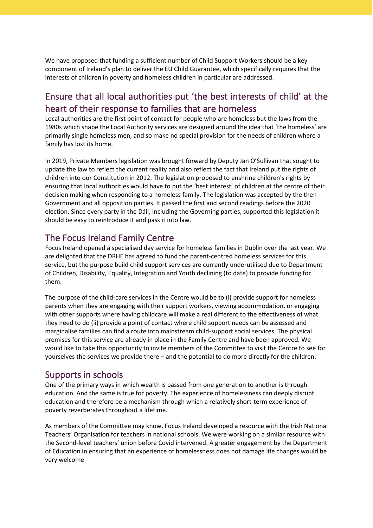We have proposed that funding a sufficient number of Child Support Workers should be a key component of Ireland's plan to deliver the EU Child Guarantee, which specifically requires that the interests of children in poverty and homeless children in particular are addressed.

# Ensure that all local authorities put 'the best interests of child' at the heart of their response to families that are homeless

Local authorities are the first point of contact for people who are homeless but the laws from the 1980s which shape the Local Authority services are designed around the idea that 'the homeless' are primarily single homeless men, and so make no special provision for the needs of children where a family has lost its home.

In 2019, Private Members legislation was brought forward by Deputy Jan O'Sullivan that sought to update the law to reflect the current reality and also reflect the fact that Ireland put the rights of children into our Constitution in 2012. The legislation proposed to enshrine children's rights by ensuring that local authorities would have to put the 'best interest' of children at the centre of their decision making when responding to a homeless family. The legislation was accepted by the then Government and all opposition parties. It passed the first and second readings before the 2020 election. Since every party in the Dáil, including the Governing parties, supported this legislation it should be easy to reintroduce it and pass it into law.

# The Focus Ireland Family Centre

Focus Ireland opened a specialised day service for homeless families in Dublin over the last year. We are delighted that the DRHE has agreed to fund the parent-centred homeless services for this service, but the purpose build child support services are currently underutilised due to Department of Children, Disability, Equality, Integration and Youth declining (to date) to provide funding for them.

The purpose of the child-care services in the Centre would be to (i) provide support for homeless parents when they are engaging with their support workers, viewing accommodation, or engaging with other supports where having childcare will make a real different to the effectiveness of what they need to do (ii) provide a point of contact where child support needs can be assessed and marginalise families can find a route into mainstream child-support social services. The physical premises for this service are already in place in the Family Centre and have been approved. We would like to take this opportunity to invite members of the Committee to visit the Centre to see for yourselves the services we provide there – and the potential to do more directly for the children.

#### Supports in schools

One of the primary ways in which wealth is passed from one generation to another is through education. And the same is true for poverty. The experience of homelessness can deeply disrupt education and therefore be a mechanism through which a relatively short-term experience of poverty reverberates throughout a lifetime.

As members of the Committee may know, Focus Ireland developed a resource with the Irish National Teachers' Organisation for teachers in national schools. We were working on a similar resource with the Second-level teachers' union before Covid intervened. A greater engagement by the Department of Education in ensuring that an experience of homelessness does not damage life changes would be very welcome